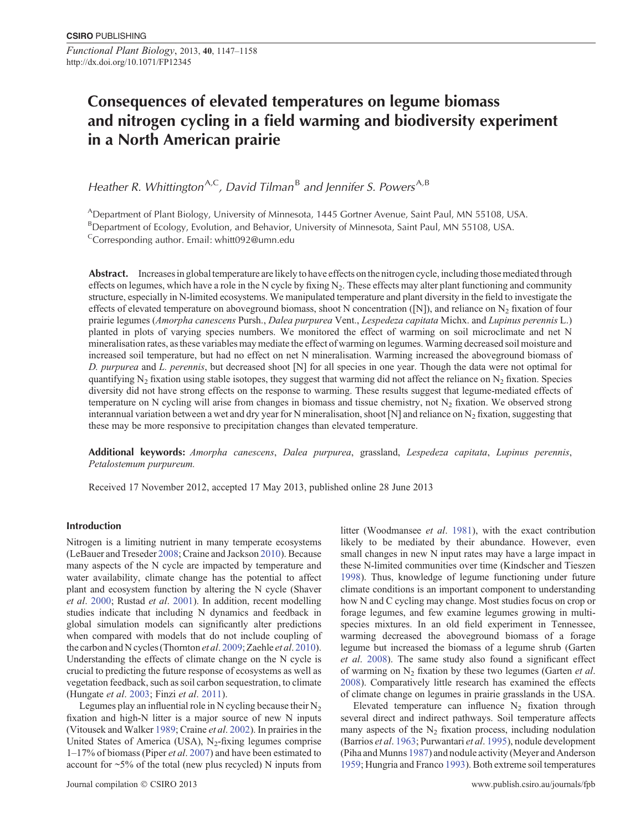*Functional Plant Biology*, 2013, **40**, 1147–1158 http://dx.doi.org/10.1071/FP12345

# **Consequences of elevated temperatures on legume biomass and nitrogen cycling in a field warming and biodiversity experiment in a North American prairie**

*Heather R. Whittington*<sup>A,C</sup>, David Tilman<sup>B</sup> and Jennifer S. Powers<sup>A,B</sup>

ADepartment of Plant Biology, University of Minnesota, 1445 Gortner Avenue, Saint Paul, MN 55108, USA. <sup>B</sup>Department of Ecology, Evolution, and Behavior, University of Minnesota, Saint Paul, MN 55108, USA. Corresponding author. Email: [whitt092@umn.edu](mailto:whitt092@umn.edu)

**Abstract.** Increases in global temperature are likely to have effects on the nitrogen cycle, including those mediated through effects on legumes, which have a role in the N cycle by fixing  $N<sub>2</sub>$ . These effects may alter plant functioning and community structure, especially in N-limited ecosystems. We manipulated temperature and plant diversity in the field to investigate the effects of elevated temperature on aboveground biomass, shoot N concentration ([N]), and reliance on  $N_2$  fixation of four prairie legumes (*Amorpha canescens* Pursh., *Dalea purpurea* Vent., *Lespedeza capitata* Michx. and *Lupinus perennis* L.) planted in plots of varying species numbers. We monitored the effect of warming on soil microclimate and net N mineralisation rates, as these variables may mediate the effect of warming on legumes.Warming decreased soil moisture and increased soil temperature, but had no effect on net N mineralisation. Warming increased the aboveground biomass of *D. purpurea* and *L. perennis*, but decreased shoot [N] for all species in one year. Though the data were not optimal for quantifying  $N_2$  fixation using stable isotopes, they suggest that warming did not affect the reliance on  $N_2$  fixation. Species diversity did not have strong effects on the response to warming. These results suggest that legume-mediated effects of temperature on N cycling will arise from changes in biomass and tissue chemistry, not  $N_2$  fixation. We observed strong interannual variation between a wet and dry year for N mineralisation, shoot [N] and reliance on  $N_2$  fixation, suggesting that these may be more responsive to precipitation changes than elevated temperature.

**Additional keywords:** *Amorpha canescens*, *Dalea purpurea*, grassland, *Lespedeza capitata*, *Lupinus perennis*, *Petalostemum purpureum.*

Received 17 November 2012, accepted 17 May 2013, published online 28 June 2013

# **Introduction**

Nitrogen is a limiting nutrient in many temperate ecosystems (LeBauer and Treseder [2008](#page-10-0); Craine and Jackson [2010](#page-9-0)). Because many aspects of the N cycle are impacted by temperature and water availability, climate change has the potential to affect plant and ecosystem function by altering the N cycle (Shaver *et al*. [2000](#page-11-0); Rustad *et al*. [2001](#page-10-0)). In addition, recent modelling studies indicate that including N dynamics and feedback in global simulation models can significantly alter predictions when compared with models that do not include coupling of the carbon and N cycles (Thornton *et al*. [2009](#page-11-0); Zaehle *et al*. [2010](#page-11-0)). Understanding the effects of climate change on the N cycle is crucial to predicting the future response of ecosystems as well as vegetation feedback, such as soil carbon sequestration, to climate (Hungate *et al*. [2003](#page-10-0); Finzi *et al*. [2011](#page-10-0)).

Legumes play an influential role in N cycling because their  $N_2$ fixation and high-N litter is a major source of new N inputs (Vitousek and Walker [1989;](#page-11-0) Craine *et al*. [2002\)](#page-10-0). In prairies in the United States of America (USA),  $N_2$ -fixing legumes comprise 1–17% of biomass (Piper *et al*. [2007\)](#page-10-0) and have been estimated to account for ~5% of the total (new plus recycled) N inputs from litter (Woodmansee *et al*. [1981\)](#page-11-0), with the exact contribution likely to be mediated by their abundance. However, even small changes in new N input rates may have a large impact in these N-limited communities over time (Kindscher and Tieszen [1998](#page-10-0)). Thus, knowledge of legume functioning under future climate conditions is an important component to understanding how N and C cycling may change. Most studies focus on crop or forage legumes, and few examine legumes growing in multispecies mixtures. In an old field experiment in Tennessee, warming decreased the aboveground biomass of a forage legume but increased the biomass of a legume shrub (Garten *et al*. [2008](#page-10-0)). The same study also found a significant effect of warming on N2 fixation by these two legumes (Garten *et al*. [2008](#page-10-0)). Comparatively little research has examined the effects of climate change on legumes in prairie grasslands in the USA.

Elevated temperature can influence  $N_2$  fixation through several direct and indirect pathways. Soil temperature affects many aspects of the  $N<sub>2</sub>$  fixation process, including nodulation (Barrios *et al*. [1963](#page-9-0); Purwantari *et al*. [1995\)](#page-10-0), nodule development (Piha and Munns [1987](#page-10-0)) and nodule activity (Meyer and Anderson [1959](#page-10-0); Hungria and Franco [1993\)](#page-10-0). Both extreme soil temperatures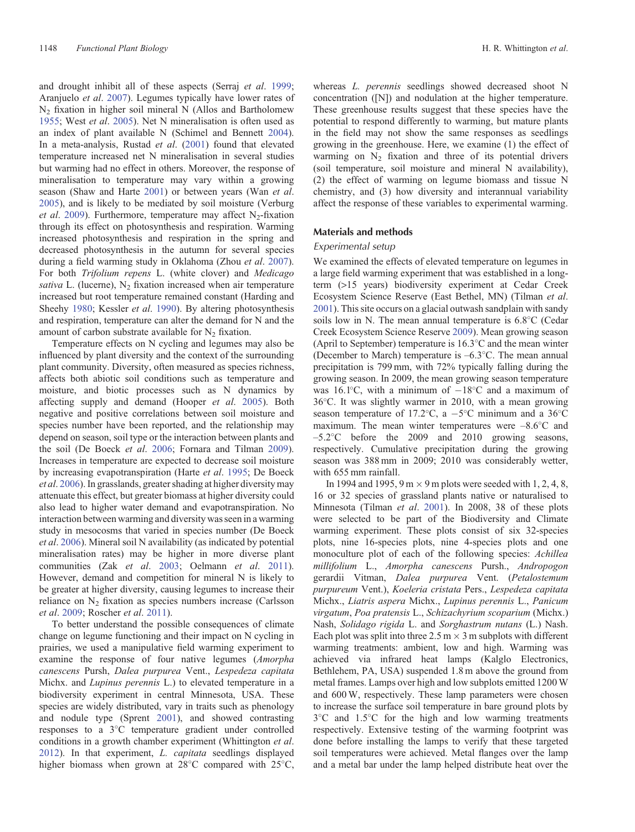and drought inhibit all of these aspects (Serraj *et al*. [1999](#page-11-0); Aranjuelo *et al*. [2007](#page-9-0)). Legumes typically have lower rates of N2 fixation in higher soil mineral N (Allos and Bartholomew [1955;](#page-9-0) West *et al*. [2005\)](#page-11-0). Net N mineralisation is often used as an index of plant available N (Schimel and Bennett [2004](#page-10-0)). In a meta-analysis, Rustad *et al*. ([2001\)](#page-10-0) found that elevated temperature increased net N mineralisation in several studies but warming had no effect in others. Moreover, the response of mineralisation to temperature may vary within a growing season (Shaw and Harte [2001](#page-11-0)) or between years (Wan *et al*. [2005\)](#page-11-0), and is likely to be mediated by soil moisture (Verburg *et al.* [2009](#page-11-0)). Furthermore, temperature may affect N<sub>2</sub>-fixation through its effect on photosynthesis and respiration. Warming increased photosynthesis and respiration in the spring and decreased photosynthesis in the autumn for several species during a field warming study in Oklahoma (Zhou *et al*. [2007](#page-11-0)). For both *Trifolium repens* L. (white clover) and *Medicago sativa* L. (lucerne),  $N_2$  fixation increased when air temperature increased but root temperature remained constant (Harding and Sheehy [1980;](#page-10-0) Kessler *et al*. [1990](#page-10-0)). By altering photosynthesis and respiration, temperature can alter the demand for N and the amount of carbon substrate available for  $N_2$  fixation.

Temperature effects on N cycling and legumes may also be influenced by plant diversity and the context of the surrounding plant community. Diversity, often measured as species richness, affects both abiotic soil conditions such as temperature and moisture, and biotic processes such as N dynamics by affecting supply and demand (Hooper *et al*. [2005](#page-10-0)). Both negative and positive correlations between soil moisture and species number have been reported, and the relationship may depend on season, soil type or the interaction between plants and the soil (De Boeck *et al*. [2006;](#page-10-0) Fornara and Tilman [2009](#page-10-0)). Increases in temperature are expected to decrease soil moisture by increasing evapotranspiration (Harte *et al*. [1995](#page-10-0); De Boeck *et al*. [2006\)](#page-10-0). In grasslands, greater shading at higher diversity may attenuate this effect, but greater biomass at higher diversity could also lead to higher water demand and evapotranspiration. No interaction between warming and diversity was seen in a warming study in mesocosms that varied in species number (De Boeck *et al*. [2006\)](#page-10-0). Mineral soil N availability (as indicated by potential mineralisation rates) may be higher in more diverse plant communities (Zak *et al*. [2003](#page-11-0); Oelmann *et al*. [2011](#page-10-0)). However, demand and competition for mineral N is likely to be greater at higher diversity, causing legumes to increase their reliance on  $N_2$  fixation as species numbers increase (Carlsson *et al*. [2009](#page-9-0); Roscher *et al*. [2011\)](#page-10-0).

To better understand the possible consequences of climate change on legume functioning and their impact on N cycling in prairies, we used a manipulative field warming experiment to examine the response of four native legumes (*Amorpha canescens* Pursh, *Dalea purpurea* Vent., *Lespedeza capitata* Michx. and *Lupinus perennis* L.) to elevated temperature in a biodiversity experiment in central Minnesota, USA. These species are widely distributed, vary in traits such as phenology and nodule type (Sprent [2001\)](#page-11-0), and showed contrasting responses to a 3 C temperature gradient under controlled conditions in a growth chamber experiment (Whittington *et al*. [2012\)](#page-11-0). In that experiment, *L. capitata* seedlings displayed higher biomass when grown at 28°C compared with 25°C,

whereas *L. perennis* seedlings showed decreased shoot N concentration ([N]) and nodulation at the higher temperature. These greenhouse results suggest that these species have the potential to respond differently to warming, but mature plants in the field may not show the same responses as seedlings growing in the greenhouse. Here, we examine (1) the effect of warming on  $N_2$  fixation and three of its potential drivers (soil temperature, soil moisture and mineral N availability), (2) the effect of warming on legume biomass and tissue N chemistry, and (3) how diversity and interannual variability affect the response of these variables to experimental warming.

## **Materials and methods**

#### *Experimental setup*

We examined the effects of elevated temperature on legumes in a large field warming experiment that was established in a longterm (>15 years) biodiversity experiment at Cedar Creek Ecosystem Science Reserve (East Bethel, MN) (Tilman *et al*. [2001\)](#page-11-0). This site occurs on a glacial outwash sandplain with sandy soils low in N. The mean annual temperature is 6.8°C (Cedar Creek Ecosystem Science Reserve [2009](#page-9-0)). Mean growing season (April to September) temperature is 16.3 C and the mean winter (December to March) temperature is –6.3 C. The mean annual precipitation is 799 mm, with 72% typically falling during the growing season. In 2009, the mean growing season temperature was  $16.1^{\circ}$ C, with a minimum of  $-18^{\circ}$ C and a maximum of 36 C. It was slightly warmer in 2010, with a mean growing season temperature of 17.2°C, a  $-5$ °C minimum and a  $36$ °C maximum. The mean winter temperatures were  $-8.6^{\circ}\text{C}$  and –5.2 C before the 2009 and 2010 growing seasons, respectively. Cumulative precipitation during the growing season was 388 mm in 2009; 2010 was considerably wetter, with 655 mm rainfall.

In 1994 and 1995, 9 m  $\times$  9 m plots were seeded with 1, 2, 4, 8, 16 or 32 species of grassland plants native or naturalised to Minnesota (Tilman *et al*. [2001\)](#page-11-0). In 2008, 38 of these plots were selected to be part of the Biodiversity and Climate warming experiment. These plots consist of six 32-species plots, nine 16-species plots, nine 4-species plots and one monoculture plot of each of the following species: *Achillea millifolium* L., *Amorpha canescens* Pursh., *Andropogon* gerardii Vitman, *Dalea purpurea* Vent. (*Petalostemum purpureum* Vent.), *Koeleria cristata* Pers., *Lespedeza capitata* Michx., *Liatris aspera* Michx., *Lupinus perennis* L., *Panicum virgatum*, *Poa pratensis* L., *Schizachyrium scoparium* (Michx.) Nash, *Solidago rigida* L. and *Sorghastrum nutans* (L.) Nash. Each plot was split into three  $2.5 \text{ m} \times 3 \text{ m}$  subplots with different warming treatments: ambient, low and high. Warming was achieved via infrared heat lamps (Kalglo Electronics, Bethlehem, PA, USA) suspended 1.8 m above the ground from metal frames. Lamps over high and low subplots emitted 1200 W and 600 W, respectively. These lamp parameters were chosen to increase the surface soil temperature in bare ground plots by 3 C and 1.5 C for the high and low warming treatments respectively. Extensive testing of the warming footprint was done before installing the lamps to verify that these targeted soil temperatures were achieved. Metal flanges over the lamp and a metal bar under the lamp helped distribute heat over the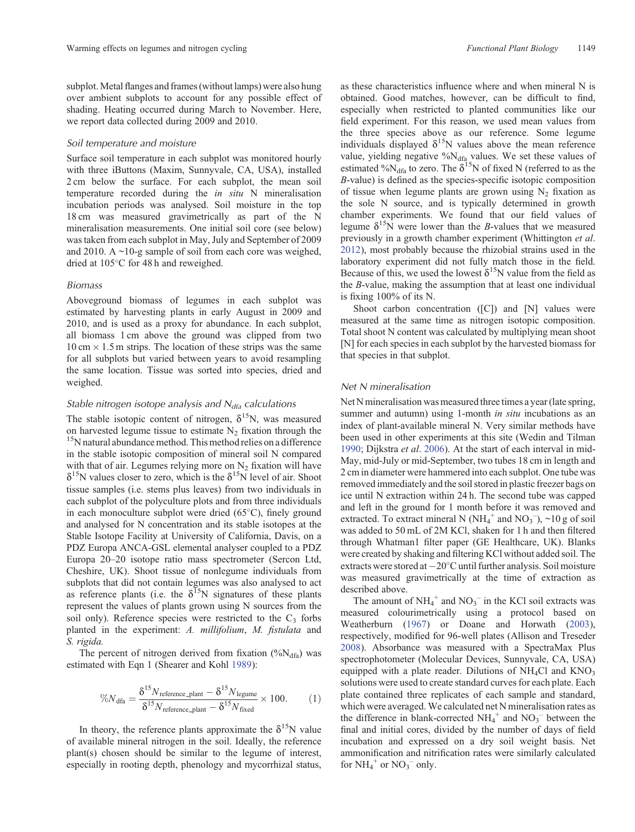subplot. Metal flanges and frames (without lamps) were also hung over ambient subplots to account for any possible effect of shading. Heating occurred during March to November. Here, we report data collected during 2009 and 2010.

#### *Soil temperature and moisture*

Surface soil temperature in each subplot was monitored hourly with three iButtons (Maxim, Sunnyvale, CA, USA), installed 2 cm below the surface. For each subplot, the mean soil temperature recorded during the *in situ* N mineralisation incubation periods was analysed. Soil moisture in the top 18 cm was measured gravimetrically as part of the N mineralisation measurements. One initial soil core (see below) was taken from each subplot in May, July and September of 2009 and 2010. A  $\sim$ 10-g sample of soil from each core was weighed, dried at 105 C for 48 h and reweighed.

## *Biomass*

Aboveground biomass of legumes in each subplot was estimated by harvesting plants in early August in 2009 and 2010, and is used as a proxy for abundance. In each subplot, all biomass 1 cm above the ground was clipped from two  $10 \text{ cm} \times 1.5 \text{ m}$  strips. The location of these strips was the same for all subplots but varied between years to avoid resampling the same location. Tissue was sorted into species, dried and weighed.

# *Stable nitrogen isotope analysis and N<sub>dfa</sub> calculations*

The stable isotopic content of nitrogen,  $\delta^{15}N$ , was measured on harvested legume tissue to estimate  $N_2$  fixation through the <sup>15</sup>N natural abundance method. This method relies on a difference in the stable isotopic composition of mineral soil N compared with that of air. Legumes relying more on  $N_2$  fixation will have  $\delta^{15}$ N values closer to zero, which is the  $\delta^{15}$ N level of air. Shoot tissue samples (i.e. stems plus leaves) from two individuals in each subplot of the polyculture plots and from three individuals in each monoculture subplot were dried (65 C), finely ground and analysed for N concentration and its stable isotopes at the Stable Isotope Facility at University of California, Davis, on a PDZ Europa ANCA-GSL elemental analyser coupled to a PDZ Europa 20–20 isotope ratio mass spectrometer (Sercon Ltd, Cheshire, UK). Shoot tissue of nonlegume individuals from subplots that did not contain legumes was also analysed to act as reference plants (i.e. the  $\delta^{15}N$  signatures of these plants represent the values of plants grown using N sources from the soil only). Reference species were restricted to the  $C_3$  forbs planted in the experiment: *A. millifolium*, *M. fistulata* and *S. rigida.*

The percent of nitrogen derived from fixation  $(^{0}\!/\!o\mathrm{N}_{\mathrm{dfa}})$  was estimated with Eqn 1 (Shearer and Kohl [1989](#page-11-0)):

$$
\%N_{\text{dfa}} = \frac{\delta^{15} N_{\text{reference}} - \text{plant}}{\delta^{15} N_{\text{reference}} - \text{plant}} - \delta^{15} N_{\text{figure}} \times 100. \tag{1}
$$

In theory, the reference plants approximate the  $\delta^{15}N$  value of available mineral nitrogen in the soil. Ideally, the reference plant(s) chosen should be similar to the legume of interest, especially in rooting depth, phenology and mycorrhizal status, as these characteristics influence where and when mineral N is obtained. Good matches, however, can be difficult to find, especially when restricted to planted communities like our field experiment. For this reason, we used mean values from the three species above as our reference. Some legume individuals displayed  $\delta^{15}N$  values above the mean reference value, yielding negative %N<sub>dfa</sub> values. We set these values of estimated % $N_{\text{dfa}}$  to zero. The  $\delta^{15}N$  of fixed N (referred to as the *B*-value) is defined as the species-specific isotopic composition of tissue when legume plants are grown using  $N_2$  fixation as the sole N source, and is typically determined in growth chamber experiments. We found that our field values of legume  $\delta^{15}$ N were lower than the *B*-values that we measured previously in a growth chamber experiment (Whittington *et al*. [2012](#page-11-0)), most probably because the rhizobial strains used in the laboratory experiment did not fully match those in the field. Because of this, we used the lowest  $\delta^{15}N$  value from the field as the *B*-value, making the assumption that at least one individual is fixing 100% of its N.

Shoot carbon concentration ([C]) and [N] values were measured at the same time as nitrogen isotopic composition. Total shoot N content was calculated by multiplying mean shoot [N] for each species in each subplot by the harvested biomass for that species in that subplot.

## *Net N mineralisation*

Net N mineralisation was measured three times a year (late spring, summer and autumn) using 1-month *in situ* incubations as an index of plant-available mineral N. Very similar methods have been used in other experiments at this site (Wedin and Tilman [1990](#page-11-0); Dijkstra *et al*. [2006\)](#page-10-0). At the start of each interval in mid-May, mid-July or mid-September, two tubes 18 cm in length and 2 cm in diameter were hammered into each subplot. One tube was removed immediately and the soil stored in plastic freezer bags on ice until N extraction within 24 h. The second tube was capped and left in the ground for 1 month before it was removed and extracted. To extract mineral N ( $NH_4^+$  and  $NO_3^-$ ), ~10 g of soil was added to 50 mL of 2M KCl, shaken for 1 h and then filtered through Whatman1 filter paper (GE Healthcare, UK). Blanks were created by shaking and filtering KCl without added soil. The extracts were stored at  $-20^{\circ}$ C until further analysis. Soil moisture was measured gravimetrically at the time of extraction as described above.

The amount of  $NH_4^+$  and  $NO_3^-$  in the KCl soil extracts was measured colourimetrically using a protocol based on Weatherburn [\(1967](#page-11-0)) or Doane and Horwath [\(2003](#page-10-0)), respectively, modified for 96-well plates (Allison and Treseder [2008](#page-9-0)). Absorbance was measured with a SpectraMax Plus spectrophotometer (Molecular Devices, Sunnyvale, CA, USA) equipped with a plate reader. Dilutions of  $NH<sub>4</sub>Cl$  and  $KNO<sub>3</sub>$ solutions were used to create standard curves for each plate. Each plate contained three replicates of each sample and standard, which were averaged. We calculated net N mineralisation rates as the difference in blank-corrected  $NH_4^+$  and  $NO_3^-$  between the final and initial cores, divided by the number of days of field incubation and expressed on a dry soil weight basis. Net ammonification and nitrification rates were similarly calculated for  $NH_4^+$  or  $NO_3^-$  only.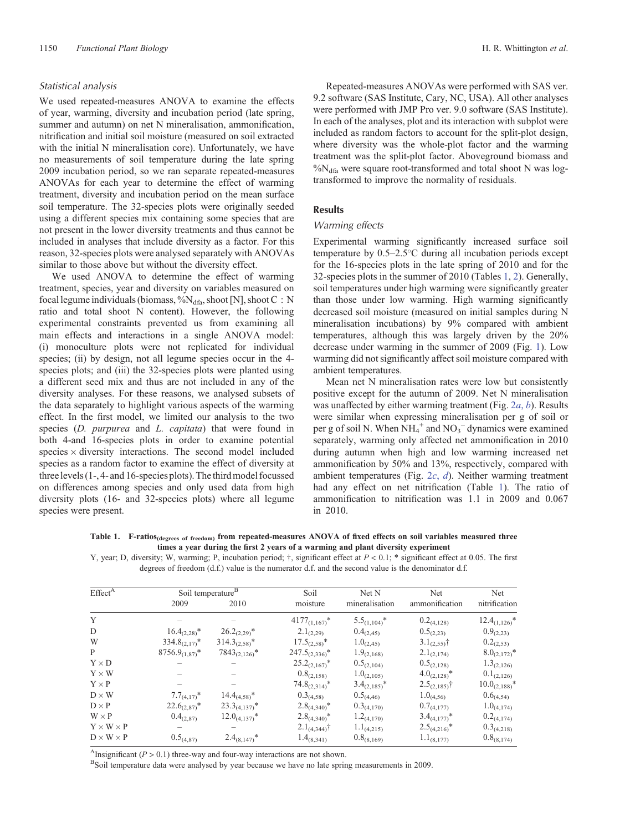# <span id="page-3-0"></span>*Statistical analysis*

We used repeated-measures ANOVA to examine the effects of year, warming, diversity and incubation period (late spring, summer and autumn) on net N mineralisation, ammonification, nitrification and initial soil moisture (measured on soil extracted with the initial N mineralisation core). Unfortunately, we have no measurements of soil temperature during the late spring 2009 incubation period, so we ran separate repeated-measures ANOVAs for each year to determine the effect of warming treatment, diversity and incubation period on the mean surface soil temperature. The 32-species plots were originally seeded using a different species mix containing some species that are not present in the lower diversity treatments and thus cannot be included in analyses that include diversity as a factor. For this reason, 32-species plots were analysed separately with ANOVAs similar to those above but without the diversity effect.

We used ANOVA to determine the effect of warming treatment, species, year and diversity on variables measured on focal legume individuals (biomass, %N<sub>dfa</sub>, shoot [N], shoot C: N ratio and total shoot N content). However, the following experimental constraints prevented us from examining all main effects and interactions in a single ANOVA model: (i) monoculture plots were not replicated for individual species; (ii) by design, not all legume species occur in the 4species plots; and (iii) the 32-species plots were planted using a different seed mix and thus are not included in any of the diversity analyses. For these reasons, we analysed subsets of the data separately to highlight various aspects of the warming effect. In the first model, we limited our analysis to the two species (*D. purpurea* and *L. capitata*) that were found in both 4-and 16-species plots in order to examine potential species  $\times$  diversity interactions. The second model included species as a random factor to examine the effect of diversity at three levels (1-, 4- and 16-species plots). The third model focussed on differences among species and only used data from high diversity plots (16- and 32-species plots) where all legume species were present.

Repeated-measures ANOVAs were performed with SAS ver. 9.2 software (SAS Institute, Cary, NC, USA). All other analyses were performed with JMP Pro ver. 9.0 software (SAS Institute). In each of the analyses, plot and its interaction with subplot were included as random factors to account for the split-plot design, where diversity was the whole-plot factor and the warming treatment was the split-plot factor. Aboveground biomass and  $\%N_{\text{dfa}}$  were square root-transformed and total shoot N was logtransformed to improve the normality of residuals.

# **Results**

# *Warming effects*

Experimental warming significantly increased surface soil temperature by 0.5–2.5 C during all incubation periods except for the 16-species plots in the late spring of 2010 and for the 32-species plots in the summer of 2010 (Tables 1, [2](#page-4-0)). Generally, soil temperatures under high warming were significantly greater than those under low warming. High warming significantly decreased soil moisture (measured on initial samples during N mineralisation incubations) by 9% compared with ambient temperatures, although this was largely driven by the 20% decrease under warming in the summer of 2009 (Fig. [1](#page-4-0)). Low warming did not significantly affect soil moisture compared with ambient temperatures.

Mean net N mineralisation rates were low but consistently positive except for the autumn of 2009. Net N mineralisation was unaffected by either warming treatment (Fig. [2](#page-5-0)*a*, *b*). Results were similar when expressing mineralisation per g of soil or per g of soil N. When  $NH_4^+$  and  $NO_3^-$  dynamics were examined separately, warming only affected net ammonification in 2010 during autumn when high and low warming increased net ammonification by 50% and 13%, respectively, compared with ambient temperatures (Fig. [2](#page-5-0)*c*, *d*). Neither warming treatment had any effect on net nitrification (Table 1). The ratio of ammonification to nitrification was 1.1 in 2009 and 0.067 in 2010.

**Table 1. F-ratios(degrees of freedom) from repeated-measures ANOVA of fixed effects on soil variables measured three times a year during the first 2 years of a warming and plant diversity experiment**

Y, year; D, diversity; W, warming; P, incubation period;  $\dagger$ , significant effect at  $P < 0.1$ ; \* significant effect at 0.05. The first degrees of freedom (d.f.) value is the numerator d.f. and the second value is the denominator d.f.

| Effect <sup>A</sup>   | Soil temperature <sup>B</sup> |                    | Soil                   | Net N             | Net               | Net                |
|-----------------------|-------------------------------|--------------------|------------------------|-------------------|-------------------|--------------------|
|                       | 2009                          | 2010               | moisture               | mineralisation    | ammonification    | nitrification      |
| Y                     |                               |                    | $4177_{(1,167)}$ *     | $5.5_{(1,104)}$ * | $0.2_{(4,128)}$   | $12.4_{(1,126)}$ * |
| D                     | $16.4_{(2,28)}$ *             | $26.2_{(2,29)}$ *  | $2.1_{(2,29)}$         | $0.4_{(2,45)}$    | $0.5_{(2,23)}$    | $0.9_{(2,23)}$     |
| W                     | $334.8_{(2,17)}$ *            | $314.3_{(2,58)}$ * | $17.5_{(2,58)}$ *      | $1.0_{(2,45)}$    | $3.1_{(2,55)}$ †  | $0.2_{(2,53)}$     |
| P                     | $8756.9_{(1,87)}$ *           | $7843_{(2,126)}$ * | $247.5_{(2,336)}$ *    | $1.9_{(2,168)}$   | $2.1_{(2,174)}$   | $8.0_{(2,172)}$ *  |
| $Y \times D$          |                               |                    | $25.2_{(2,167)}$ *     | $0.5_{(2,104)}$   | $0.5_{(2,128)}$   | $1.3_{(2,126)}$    |
| $Y \times W$          |                               |                    | $0.8_{(2,158)}$        | $1.0_{(2,105)}$   | $4.0_{(2,128)}$ * | $0.1_{(2,126)}$    |
| $Y \times P$          |                               |                    | $74.8_{(2,314)}$ *     | $3.4_{(2,185)}$ * | $2.5_{(2,185)}$ † | $10.0_{(2,188)}$ * |
| $D \times W$          | $7.7_{(4,17)}$ *              | $14.4_{(4,58)}$ *  | $0.3_{(4,58)}$         | $0.5_{(4,46)}$    | $1.0_{(4,56)}$    | $0.6_{(4,54)}$     |
| $D \times P$          | $22.6_{(2,87)}$ *             | $23.3_{(4,137)}$ * | $2.8_{(4,340)}$ *      | $0.3_{(4,170)}$   | $0.7_{(4,177)}$   | $1.0_{(4,174)}$    |
| $W \times P$          | $0.4_{(2,87)}$                | $12.0_{(4,137)}$ * | $2.8_{(4,340)}$ *      | $1.2_{(4,170)}$   | $3.4_{(4,177)}$ * | $0.2_{(4,174)}$    |
| $Y \times W \times P$ |                               |                    | $2.1_{(4,344)}\dagger$ | $1.1_{(4,215)}$   | $2.5_{(4,216)}$ * | $0.3_{(4,218)}$    |
| $D \times W \times P$ | $0.5_{(4,87)}$                | $2.4_{(8,147)}$ *  | $1.4_{(8,341)}$        | $0.8_{(8,169)}$   | $1.1_{(8,177)}$   | $0.8_{(8,174)}$    |

Athereform *P* > 0.1) three-way and four-way interactions are not shown.<br><sup>B</sup>Soil temperature data were analysed by year because we have no late spring measurements in 2009.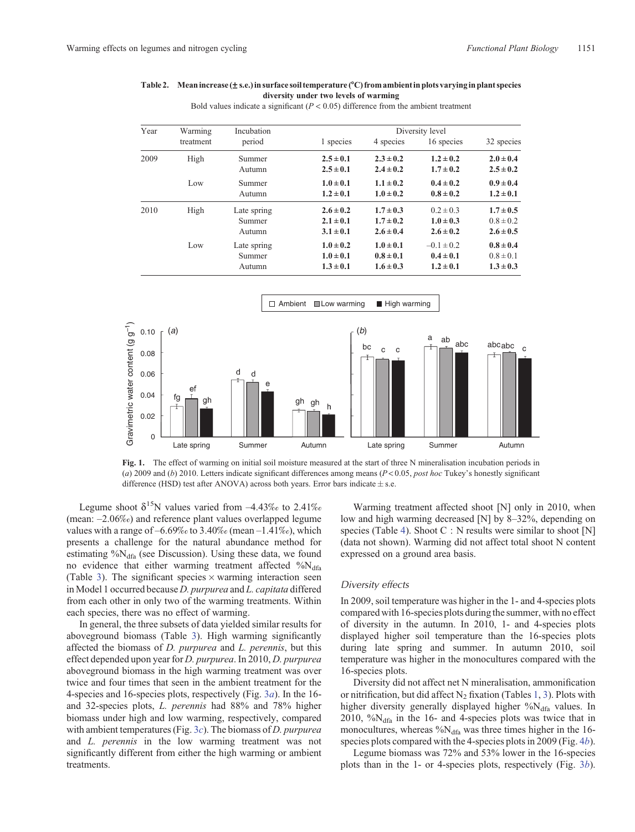#### <span id="page-4-0"></span>**Table 2. Meanincrease (s.e.)in surface soil temperature (**8**C) from ambientin plots varyingin plant species diversity under two levels of warming**

Bold values indicate a significant  $(P < 0.05)$  difference from the ambient treatment

| Year | Warming   | Incubation                      | Diversity level                                 |                                                 |                                                  |                                                 |
|------|-----------|---------------------------------|-------------------------------------------------|-------------------------------------------------|--------------------------------------------------|-------------------------------------------------|
|      | treatment | period                          | 1 species                                       | 4 species                                       | 16 species                                       | 32 species                                      |
| 2009 | High      | Summer<br>Autumn                | $2.5 \pm 0.1$<br>$2.5 \pm 0.1$                  | $2.3 \pm 0.2$<br>$2.4 \pm 0.2$                  | $1.2 \pm 0.2$<br>$1.7 \pm 0.2$                   | $2.0 \pm 0.4$<br>$2.5 \pm 0.2$                  |
|      | Low       | Summer<br>Autumn                | $1.0 \pm 0.1$<br>$1.2 \pm 0.1$                  | $1.1 \pm 0.2$<br>$1.0 \pm 0.2$                  | $0.4 \pm 0.2$<br>$0.8 \pm 0.2$                   | $0.9 \pm 0.4$<br>$1.2 \pm 0.1$                  |
| 2010 | High      | Late spring<br>Summer<br>Autumn | $2.6 \pm 0.2$<br>$2.1 \pm 0.1$<br>$3.1 \pm 0.1$ | $1.7 \pm 0.3$<br>$1.7 \pm 0.2$<br>$2.6 \pm 0.4$ | $0.2 \pm 0.3$<br>$1.0 \pm 0.3$<br>$2.6 \pm 0.2$  | $1.7 \pm 0.5$<br>$0.8 \pm 0.2$<br>$2.6 \pm 0.5$ |
|      | Low       | Late spring<br>Summer<br>Autumn | $1.0 \pm 0.2$<br>$1.0 \pm 0.1$<br>$1.3 \pm 0.1$ | $1.0 \pm 0.1$<br>$0.8 \pm 0.1$<br>$1.6 \pm 0.3$ | $-0.1 \pm 0.2$<br>$0.4 \pm 0.1$<br>$1.2 \pm 0.1$ | $0.8 \pm 0.4$<br>$0.8 \pm 0.1$<br>$1.3 \pm 0.3$ |



**Fig. 1.** The effect of warming on initial soil moisture measured at the start of three N mineralisation incubation periods in (*a*) 2009 and (*b*) 2010. Letters indicate significant differences among means (*P* < 0.05, *post hoc* Tukey's honestly significant difference (HSD) test after ANOVA) across both years. Error bars indicate  $\pm$  s.e.

Legume shoot  $\delta^{15}N$  values varied from  $-4.43\%$  to 2.41% (mean: –2.06‰) and reference plant values overlapped legume values with a range of  $-6.69\%$  to 3.40‰ (mean  $-1.41\%$ ), which presents a challenge for the natural abundance method for estimating  $\%N_{dfa}$  (see Discussion). Using these data, we found no evidence that either warming treatment affected  $\%$ N<sub>dfa</sub> (Table [3](#page-6-0)). The significant species  $\times$  warming interaction seen in Model 1 occurred because *D. purpurea* and *L. capitata* differed from each other in only two of the warming treatments. Within each species, there was no effect of warming.

In general, the three subsets of data yielded similar results for aboveground biomass (Table [3](#page-6-0)). High warming significantly affected the biomass of *D. purpurea* and *L. perennis*, but this effect depended upon year for *D. purpurea*. In 2010, *D. purpurea* aboveground biomass in the high warming treatment was over twice and four times that seen in the ambient treatment for the 4-species and 16-species plots, respectively (Fig. [3](#page-7-0)*a*). In the 16 and 32-species plots, *L. perennis* had 88% and 78% higher biomass under high and low warming, respectively, compared with ambient temperatures (Fig. [3](#page-7-0)*c*). The biomass of *D. purpurea* and *L. perennis* in the low warming treatment was not significantly different from either the high warming or ambient treatments.

Warming treatment affected shoot [N] only in 2010, when low and high warming decreased [N] by 8–32%, depending on species (Table [4](#page-7-0)). Shoot C : N results were similar to shoot [N] (data not shown). Warming did not affect total shoot N content expressed on a ground area basis.

#### *Diversity effects*

In 2009, soil temperature was higher in the 1- and 4-species plots compared with 16-species plots during the summer, with no effect of diversity in the autumn. In 2010, 1- and 4-species plots displayed higher soil temperature than the 16-species plots during late spring and summer. In autumn 2010, soil temperature was higher in the monocultures compared with the 16-species plots.

Diversity did not affect net N mineralisation, ammonification or nitrification, but did affect  $N_2$  fixation (Tables [1,](#page-3-0) [3\)](#page-6-0). Plots with higher diversity generally displayed higher %N<sub>dfa</sub> values. In 2010,  $\%$ N<sub>dfa</sub> in the 16- and 4-species plots was twice that in monocultures, whereas  $\%N_{\text{dfa}}$  was three times higher in the 16species plots compared with the 4-species plots in 2009 (Fig. 4*[b](#page-7-0)*).

Legume biomass was 72% and 53% lower in the 16-species plots than in the 1- or 4-species plots, respectively (Fig. 3*[b](#page-7-0)*).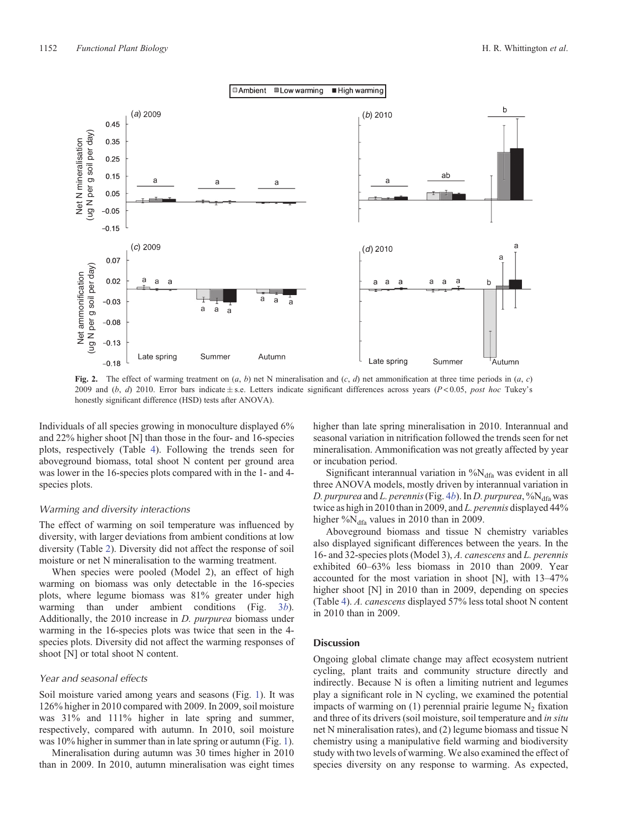<span id="page-5-0"></span>

**Fig. 2.** The effect of warming treatment on  $(a, b)$  net N mineralisation and  $(c, d)$  net ammonification at three time periods in  $(a, c)$ 2009 and  $(b, d)$  2010. Error bars indicate  $\pm$  s.e. Letters indicate significant differences across years ( $P$  < 0.05, *post hoc* Tukey's honestly significant difference (HSD) tests after ANOVA).

Individuals of all species growing in monoculture displayed 6% and 22% higher shoot [N] than those in the four- and 16-species plots, respectively (Table [4\)](#page-7-0). Following the trends seen for aboveground biomass, total shoot N content per ground area was lower in the 16-species plots compared with in the 1- and 4 species plots.

#### *Warming and diversity interactions*

The effect of warming on soil temperature was influenced by diversity, with larger deviations from ambient conditions at low diversity (Table [2\)](#page-4-0). Diversity did not affect the response of soil moisture or net N mineralisation to the warming treatment.

When species were pooled (Model 2), an effect of high warming on biomass was only detectable in the 16-species plots, where legume biomass was 81% greater under high warming than under ambient conditions (Fig. [3](#page-7-0)*b*). Additionally, the 2010 increase in *D. purpurea* biomass under warming in the 16-species plots was twice that seen in the 4 species plots. Diversity did not affect the warming responses of shoot [N] or total shoot N content.

#### *Year and seasonal effects*

Soil moisture varied among years and seasons (Fig. [1\)](#page-4-0). It was 126% higher in 2010 compared with 2009. In 2009, soil moisture was 31% and 111% higher in late spring and summer, respectively, compared with autumn. In 2010, soil moisture was 10% higher in summer than in late spring or autumn (Fig. [1](#page-4-0)).

Mineralisation during autumn was 30 times higher in 2010 than in 2009. In 2010, autumn mineralisation was eight times higher than late spring mineralisation in 2010. Interannual and seasonal variation in nitrification followed the trends seen for net mineralisation. Ammonification was not greatly affected by year or incubation period.

Significant interannual variation in  $\%N_{dfa}$  was evident in all three ANOVA models, mostly driven by interannual variation in *D. purpurea* and *L. perennis* (Fig. [4](#page-7-0)*b*). In *D. purpurea*, % $N_{\text{dfa}}$  was twice as high in 2010 than in 2009, and *L. perennis* displayed 44% higher % $N_{\text{dfa}}$  values in 2010 than in 2009.

Aboveground biomass and tissue N chemistry variables also displayed significant differences between the years. In the 16- and 32-species plots (Model 3), *A. canescens* and *L. perennis* exhibited 60–63% less biomass in 2010 than 2009. Year accounted for the most variation in shoot [N], with 13–47% higher shoot [N] in 2010 than in 2009, depending on species (Table [4\)](#page-7-0). *A. canescens* displayed 57% less total shoot N content in 2010 than in 2009.

#### **Discussion**

Ongoing global climate change may affect ecosystem nutrient cycling, plant traits and community structure directly and indirectly. Because N is often a limiting nutrient and legumes play a significant role in N cycling, we examined the potential impacts of warming on  $(1)$  perennial prairie legume  $N_2$  fixation and three of its drivers (soil moisture, soil temperature and *in situ* net N mineralisation rates), and (2) legume biomass and tissue N chemistry using a manipulative field warming and biodiversity study with two levels of warming. We also examined the effect of species diversity on any response to warming. As expected,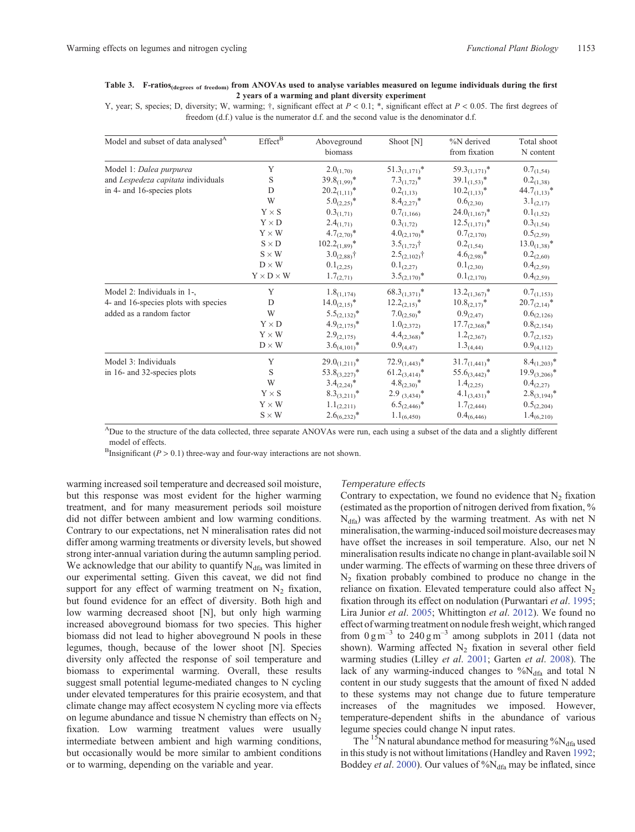#### <span id="page-6-0"></span>**Table 3. F-ratios(degrees of freedom) from ANOVAs used to analyse variables measured on legume individuals during the first 2 years of a warming and plant diversity experiment**

Y, year; S, species; D, diversity; W, warming;  $\dagger$ , significant effect at  $P < 0.1$ ; \*, significant effect at  $P < 0.05$ . The first degrees of freedom (d.f.) value is the numerator d.f. and the second value is the denominator d.f.

| Model and subset of data analysed <sup>A</sup> | $Effect^{\overline{B}}$      | Aboveground<br>biomass | Shoot [N]          | %N derived<br>from fixation | Total shoot<br>N content |
|------------------------------------------------|------------------------------|------------------------|--------------------|-----------------------------|--------------------------|
| Model 1: Dalea purpurea                        | Y                            | $2.0_{(1,70)}$         | $51.3_{(1,171)}$   | $59.3_{(1,171)}$ *          | $0.7_{(1,54)}$           |
| and Lespedeza capitata individuals             | S                            | $39.8_{(1,99)}$ *      | $7.3_{(1.72)}$ *   | $39.1_{(1,53)}$ *           | $0.2_{(1,38)}$           |
| in 4- and 16-species plots                     | D                            | $20.2_{(1,11)}$ *      | $0.2_{(1,13)}$     | $10.2_{(1,13)}$ *           | $44.7_{(1,13)}$ *        |
|                                                | W                            | $5.0_{(2,25)}$ *       | $8.4_{(2,27)}$ *   | $0.6_{(2,30)}$              | $3.1_{(2,17)}$           |
|                                                | $Y \times S$                 | $0.3_{(1,71)}$         | $0.7_{(1,166)}$    | $24.0_{(1,167)}$ *          | $0.1_{(1,52)}$           |
|                                                | $\mathbf{Y}\times\mathbf{D}$ | $2.4_{(1,71)}$         | $0.3_{(1,72)}$     | $12.5_{(1,171)}$ *          | $0.3_{(1,54)}$           |
|                                                | $Y \times W$                 | $4.7_{(2,70)}$ *       | $4.0_{(2,170)}$ *  | $0.7_{(2,170)}$             | $0.5_{(2,59)}$           |
|                                                | $S \times D$                 | $102.2_{(1,89)}$ *     | $3.5_{(1,72)}$ †   | $0.2_{(1,54)}$              | $13.0_{(1,38)}$ *        |
|                                                | $S \times W$                 | $3.0_{(2,88)}\dagger$  | $2.5_{(2,102)}$ †  | $4.6_{(2,98)}$ *            | $0.2_{(2,60)}$           |
|                                                | $D \times W$                 | $0.1_{(2,25)}$         | $0.1_{(2,27)}$     | $0.1_{(2,30)}$              | $0.4_{(2,59)}$           |
|                                                | $Y \times D \times W$        | $1.7_{(2,71)}$         | $3.5_{(2,170)}$ *  | $0.1_{(2,170)}$             | $0.4_{(2,59)}$           |
| Model 2: Individuals in 1-,                    | Y                            | $1.8_{(1,174)}$        | $68.3_{(1,371)}$   | $13.2_{(1,367)}$ *          | $0.7_{(1,153)}$          |
| 4- and 16-species plots with species           | D                            | $14.0_{(2,15)}$ *      | $12.2_{(2,15)}$ *  | $10.8_{(2,17)}$ *           | $20.7_{(2,14)}$ *        |
| added as a random factor                       | W                            | $5.5_{(2,132)}$ *      | $7.0_{(2,50)}$ *   | $0.9_{(2,47)}$              | $0.6_{(2,126)}$          |
|                                                | $Y \times D$                 | $4.9_{(2,175)}$ *      | $1.0_{(2,372)}$    | $17.7_{(2,368)}$ *          | $0.8_{(2,154)}$          |
|                                                | $Y \times W$                 | $2.9_{(2,175)}$        | $4.4_{(2,368)}$ *  | $1.2_{(2,367)}$             | $0.7_{(2,152)}$          |
|                                                | $D \times W$                 | $3.6_{(4,101)}$ *      | $0.9_{(4,47)}$     | $1.3_{(4,44)}$              | $0.9_{(4,112)}$          |
| Model 3: Individuals                           | Y                            | $29.0_{(1,211)}$       | $72.9_{(1,443)}$   | $31.7_{(1,441)}$            | $8.4_{(1,203)}$ *        |
| in 16- and 32-species plots                    | S                            | $53.8_{(3,227)}$ *     | $61.2_{(3,414)}$ * | $55.6_{(3,442)}$ *          | $19.9_{(3,206)}$ *       |
|                                                | W                            | $3.4_{(2,24)}$ *       | $4.8_{(2,30)}$ *   | $1.4_{(2,25)}$              | $0.4_{(2,27)}$           |
|                                                | $Y \times S$                 | $8.3_{(3,211)}$ *      | $2.9_{(3,434)}$ *  | $4.1_{(3,431)}$ *           | $2.8_{(3,194)}$ *        |
|                                                | $\mathbf{Y}\times\mathbf{W}$ | $1.1_{(2,211)}$        | $6.5_{(2,446)}$ *  | $1.7_{(2,444)}$             | $0.5_{(2,204)}$          |
|                                                | $S \times W$                 | $2.6_{(6,232)}$ *      | $1.1_{(6,450)}$    | $0.4_{(6,446)}$             | $1.4_{(6,210)}$          |

ADue to the structure of the data collected, three separate ANOVAs were run, each using a subset of the data and a slightly different model of effects.

<sup>B</sup>Insignificant ( $P > 0.1$ ) three-way and four-way interactions are not shown.

warming increased soil temperature and decreased soil moisture, but this response was most evident for the higher warming treatment, and for many measurement periods soil moisture did not differ between ambient and low warming conditions. Contrary to our expectations, net N mineralisation rates did not differ among warming treatments or diversity levels, but showed strong inter-annual variation during the autumn sampling period. We acknowledge that our ability to quantify  $N_{\text{dfa}}$  was limited in our experimental setting. Given this caveat, we did not find support for any effect of warming treatment on  $N_2$  fixation, but found evidence for an effect of diversity. Both high and low warming decreased shoot [N], but only high warming increased aboveground biomass for two species. This higher biomass did not lead to higher aboveground N pools in these legumes, though, because of the lower shoot [N]. Species diversity only affected the response of soil temperature and biomass to experimental warming. Overall, these results suggest small potential legume-mediated changes to N cycling under elevated temperatures for this prairie ecosystem, and that climate change may affect ecosystem N cycling more via effects on legume abundance and tissue N chemistry than effects on  $N_2$ fixation. Low warming treatment values were usually intermediate between ambient and high warming conditions, but occasionally would be more similar to ambient conditions or to warming, depending on the variable and year.

#### *Temperature effects*

Contrary to expectation, we found no evidence that  $N<sub>2</sub>$  fixation (estimated as the proportion of nitrogen derived from fixation, %  $N_{dfa}$ ) was affected by the warming treatment. As with net N mineralisation, the warming-induced soil moisture decreases may have offset the increases in soil temperature. Also, our net N mineralisation results indicate no change in plant-available soil N under warming. The effects of warming on these three drivers of  $N_2$  fixation probably combined to produce no change in the reliance on fixation. Elevated temperature could also affect  $N_2$ fixation through its effect on nodulation (Purwantari *et al*. [1995;](#page-10-0) Lira Junior *et al*. [2005](#page-10-0); Whittington *et al*. [2012\)](#page-11-0). We found no effect of warming treatment on nodule fresh weight, which ranged from  $0 \text{ g m}^{-3}$  to  $240 \text{ g m}^{-3}$  among subplots in 2011 (data not shown). Warming affected  $N_2$  fixation in several other field warming studies (Lilley *et al*. [2001](#page-10-0); Garten *et al*. [2008\)](#page-10-0). The lack of any warming-induced changes to  $\%N_{dfa}$  and total N content in our study suggests that the amount of fixed N added to these systems may not change due to future temperature increases of the magnitudes we imposed. However, temperature-dependent shifts in the abundance of various legume species could change N input rates.

The  $^{15}N$  natural abundance method for measuring  $\%N_{\text{dfa}}$  used in this study is not without limitations (Handley and Raven [1992;](#page-10-0) Boddey *et al.* [2000\)](#page-9-0). Our values of %N<sub>dfa</sub> may be inflated, since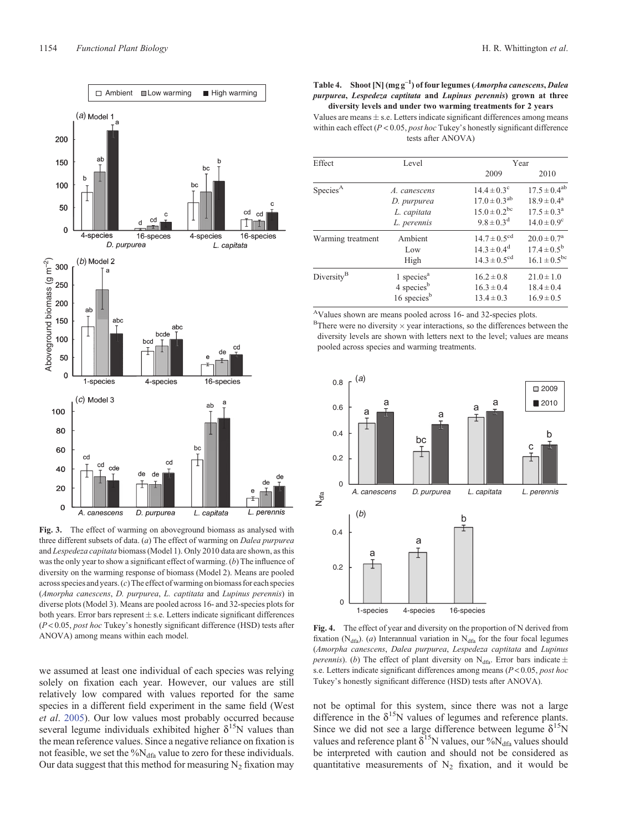<span id="page-7-0"></span>

**Fig. 3.** The effect of warming on aboveground biomass as analysed with three different subsets of data. (*a*) The effect of warming on *Dalea purpurea* and *Lespedeza capitata* biomass (Model 1). Only 2010 data are shown, as this was the only year to show a significant effect of warming. (*b*) The influence of diversity on the warming response of biomass (Model 2). Means are pooled across species and years. (*c*) The effect of warming on biomass for each species (*Amorpha canescens*, *D. purpurea*, *L. captitata* and *Lupinus perennis*) in diverse plots (Model 3). Means are pooled across 16- and 32-species plots for both years. Error bars represent  $\pm$  s.e. Letters indicate significant differences (*P* < 0.05, *post hoc* Tukey's honestly significant difference (HSD) tests after ANOVA) among means within each model.

we assumed at least one individual of each species was relying solely on fixation each year. However, our values are still relatively low compared with values reported for the same species in a different field experiment in the same field (West *et al*. [2005](#page-11-0)). Our low values most probably occurred because several legume individuals exhibited higher  $\delta^{15}N$  values than the mean reference values. Since a negative reliance on fixation is not feasible, we set the %N<sub>dfa</sub> value to zero for these individuals. Our data suggest that this method for measuring  $N_2$  fixation may

**Table 4. Shoot [N] (mg g–<sup>1</sup> ) of four legumes (***Amorpha canescens***,** *Dalea purpurea***,** *Lespedeza captitata* **and** *Lupinus perennis***) grown at three diversity levels and under two warming treatments for 2 years**

Values are means  $\pm$  s.e. Letters indicate significant differences among means within each effect (*P* < 0.05, *post hoc* Tukey's honestly significant difference tests after ANOVA)

| Effect                 | Level                   |                              | Year                   |  |  |  |
|------------------------|-------------------------|------------------------------|------------------------|--|--|--|
|                        |                         | 2009                         | 2010                   |  |  |  |
| Species <sup>A</sup>   | A. canescens            | $14.4 \pm 0.3$ <sup>c</sup>  | $17.5 \pm 0.4^{ab}$    |  |  |  |
|                        | D. purpurea             | $17.0 \pm 0.3^{ab}$          | $18.9 \pm 0.4^{\circ}$ |  |  |  |
|                        | L. capitata             | $15.0 \pm 0.2^{bc}$          | $17.5 \pm 0.3^{\rm a}$ |  |  |  |
|                        | L. perennis             | $9.8 \pm 0.3$ <sup>d</sup>   | $14.0 \pm 0.9^{\circ}$ |  |  |  |
| Warming treatment      | Ambient                 | $14.7 \pm 0.5$ <sup>cd</sup> | $20.0 \pm 0.7^{\rm a}$ |  |  |  |
|                        | Low                     | $14.3 \pm 0.4^d$             | $17.4 \pm 0.5^{\rm b}$ |  |  |  |
|                        | High                    | $14.3 \pm 0.5$ <sup>cd</sup> | $16.1 \pm 0.5^{bc}$    |  |  |  |
| Diversity <sup>B</sup> | 1 species $a$           | $16.2 \pm 0.8$               | $21.0 \pm 1.0$         |  |  |  |
|                        | 4 species <sup>b</sup>  | $16.3 \pm 0.4$               | $18.4 \pm 0.4$         |  |  |  |
|                        | 16 species <sup>b</sup> | $13.4 \pm 0.3$               | $16.9 \pm 0.5$         |  |  |  |
|                        |                         |                              |                        |  |  |  |

AValues shown are means pooled across 16- and 32-species plots.  $B$ There were no diversity  $\times$  year interactions, so the differences between the diversity levels are shown with letters next to the level; values are means pooled across species and warming treatments.



**Fig. 4.** The effect of year and diversity on the proportion of N derived from fixation (N<sub>dfa</sub>). (*a*) Interannual variation in N<sub>dfa</sub> for the four focal legumes (*Amorpha canescens*, *Dalea purpurea*, *Lespedeza captitata* and *Lupinus perennis*). (*b*) The effect of plant diversity on N<sub>dfa</sub>. Error bars indicate  $\pm$ s.e. Letters indicate significant differences among means (*P* < 0.05, *post hoc* Tukey's honestly significant difference (HSD) tests after ANOVA).

not be optimal for this system, since there was not a large difference in the  $\delta^{15}N$  values of legumes and reference plants. Since we did not see a large difference between legume  $\delta^{15}N$ values and reference plant  $\delta^{15}N$  values, our % $N_{dfa}$  values should be interpreted with caution and should not be considered as quantitative measurements of  $N_2$  fixation, and it would be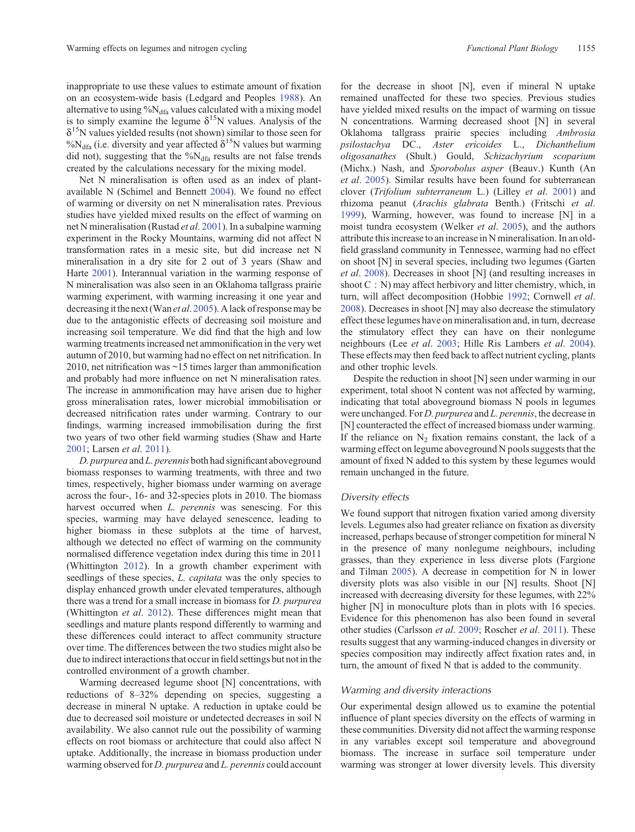inappropriate to use these values to estimate amount of fixation on an ecosystem-wide basis (Ledgard and Peoples [1988\)](#page-10-0). An alternative to using  $\%N_{dfa}$  values calculated with a mixing model is to simply examine the legume  $\delta^{15}N$  values. Analysis of the  $\delta^{15}$ N values yielded results (not shown) similar to those seen for %N<sub>dfa</sub> (i.e. diversity and year affected  $\delta^{15}N$  values but warming did not), suggesting that the  $\%N_{\text{dfa}}$  results are not false trends created by the calculations necessary for the mixing model.

Net N mineralisation is often used as an index of plantavailable N (Schimel and Bennett [2004](#page-10-0)). We found no effect of warming or diversity on net N mineralisation rates. Previous studies have yielded mixed results on the effect of warming on net N mineralisation (Rustad *et al*. [2001](#page-10-0)). In a subalpine warming experiment in the Rocky Mountains, warming did not affect N transformation rates in a mesic site, but did increase net N mineralisation in a dry site for 2 out of 3 years (Shaw and Harte [2001](#page-11-0)). Interannual variation in the warming response of N mineralisation was also seen in an Oklahoma tallgrass prairie warming experiment, with warming increasing it one year and decreasing it the next (Wan *et al*. [2005](#page-11-0)). A lack of response may be due to the antagonistic effects of decreasing soil moisture and increasing soil temperature. We did find that the high and low warming treatments increased net ammonification in the very wet autumn of 2010, but warming had no effect on net nitrification. In 2010, net nitrification was ~15 times larger than ammonification and probably had more influence on net N mineralisation rates. The increase in ammonification may have arisen due to higher gross mineralisation rates, lower microbial immobilisation or decreased nitrification rates under warming. Contrary to our findings, warming increased immobilisation during the first two years of two other field warming studies (Shaw and Harte [2001](#page-11-0); Larsen *et al*. [2011](#page-10-0)).

*D. purpurea* and *L. perennis* both had significant aboveground biomass responses to warming treatments, with three and two times, respectively, higher biomass under warming on average across the four-, 16- and 32-species plots in 2010. The biomass harvest occurred when *L. perennis* was senescing. For this species, warming may have delayed senescence, leading to higher biomass in these subplots at the time of harvest, although we detected no effect of warming on the community normalised difference vegetation index during this time in 2011 (Whittington [2012\)](#page-11-0). In a growth chamber experiment with seedlings of these species, *L. capitata* was the only species to display enhanced growth under elevated temperatures, although there was a trend for a small increase in biomass for *D. purpurea* (Whittington *et al*. [2012](#page-11-0)). These differences might mean that seedlings and mature plants respond differently to warming and these differences could interact to affect community structure over time. The differences between the two studies might also be due to indirect interactions that occur in field settings but not in the controlled environment of a growth chamber.

Warming decreased legume shoot [N] concentrations, with reductions of 8–32% depending on species, suggesting a decrease in mineral N uptake. A reduction in uptake could be due to decreased soil moisture or undetected decreases in soil N availability. We also cannot rule out the possibility of warming effects on root biomass or architecture that could also affect N uptake. Additionally, the increase in biomass production under warming observed for *D. purpurea* and *L. perennis* could account

for the decrease in shoot [N], even if mineral N uptake remained unaffected for these two species. Previous studies have yielded mixed results on the impact of warming on tissue N concentrations. Warming decreased shoot [N] in several Oklahoma tallgrass prairie species including *Ambrosia psilostachya* DC., *Aster ericoides* L., *Dichanthelium oligosanathes* (Shult.) Gould, *Schizachyrium scoparium* (Michx.) Nash, and *Sporobolus asper* (Beauv.) Kunth (An *et al*. [2005](#page-9-0)). Similar results have been found for subterranean clover (*Trifolium subterraneum* L.) (Lilley *et al*. [2001](#page-10-0)) and rhizoma peanut (*Arachis glabrata* Benth.) (Fritschi *et al*. [1999](#page-10-0)), Warming, however, was found to increase [N] in a moist tundra ecosystem (Welker *et al*. [2005\)](#page-11-0), and the authors attribute this increase to an increase in N mineralisation. In an oldfield grassland community in Tennessee, warming had no effect on shoot [N] in several species, including two legumes (Garten *et al*. [2008\)](#page-10-0). Decreases in shoot [N] (and resulting increases in shoot C : N) may affect herbivory and litter chemistry, which, in turn, will affect decomposition (Hobbie [1992](#page-10-0); Cornwell *et al*. [2008](#page-9-0)). Decreases in shoot [N] may also decrease the stimulatory effect these legumes have on mineralisation and, in turn, decrease the stimulatory effect they can have on their nonlegume neighbours (Lee *et al*. [2003;](#page-10-0) Hille Ris Lambers *et al*. [2004](#page-10-0)). These effects may then feed back to affect nutrient cycling, plants and other trophic levels.

Despite the reduction in shoot [N] seen under warming in our experiment, total shoot N content was not affected by warming, indicating that total aboveground biomass N pools in legumes were unchanged. For *D. purpurea* and *L. perennis*, the decrease in [N] counteracted the effect of increased biomass under warming. If the reliance on  $N<sub>2</sub>$  fixation remains constant, the lack of a warming effect on legume aboveground N pools suggests that the amount of fixed N added to this system by these legumes would remain unchanged in the future.

#### *Diversity effects*

We found support that nitrogen fixation varied among diversity levels. Legumes also had greater reliance on fixation as diversity increased, perhaps because of stronger competition for mineral N in the presence of many nonlegume neighbours, including grasses, than they experience in less diverse plots (Fargione and Tilman [2005](#page-10-0)). A decrease in competition for N in lower diversity plots was also visible in our [N] results. Shoot [N] increased with decreasing diversity for these legumes, with 22% higher [N] in monoculture plots than in plots with 16 species. Evidence for this phenomenon has also been found in several other studies (Carlsson *et al*. [2009;](#page-9-0) Roscher *et al*. [2011](#page-10-0)). These results suggest that any warming-induced changes in diversity or species composition may indirectly affect fixation rates and, in turn, the amount of fixed N that is added to the community.

#### *Warming and diversity interactions*

Our experimental design allowed us to examine the potential influence of plant species diversity on the effects of warming in these communities. Diversity did not affect the warming response in any variables except soil temperature and aboveground biomass. The increase in surface soil temperature under warming was stronger at lower diversity levels. This diversity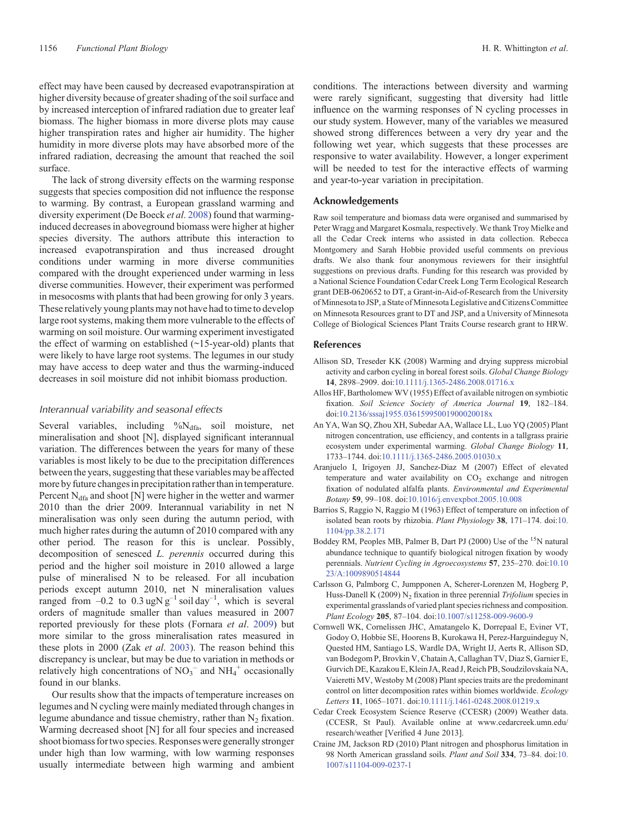<span id="page-9-0"></span>effect may have been caused by decreased evapotranspiration at higher diversity because of greater shading of the soil surface and by increased interception of infrared radiation due to greater leaf biomass. The higher biomass in more diverse plots may cause higher transpiration rates and higher air humidity. The higher humidity in more diverse plots may have absorbed more of the infrared radiation, decreasing the amount that reached the soil surface.

The lack of strong diversity effects on the warming response suggests that species composition did not influence the response to warming. By contrast, a European grassland warming and diversity experiment (De Boeck *et al*. [2008](#page-10-0)) found that warminginduced decreases in aboveground biomass were higher at higher species diversity. The authors attribute this interaction to increased evapotranspiration and thus increased drought conditions under warming in more diverse communities compared with the drought experienced under warming in less diverse communities. However, their experiment was performed in mesocosms with plants that had been growing for only 3 years. These relatively young plants may not have had to time to develop large root systems, making them more vulnerable to the effects of warming on soil moisture. Our warming experiment investigated the effect of warming on established  $(\sim 15$ -year-old) plants that were likely to have large root systems. The legumes in our study may have access to deep water and thus the warming-induced decreases in soil moisture did not inhibit biomass production.

### *Interannual variability and seasonal effects*

Several variables, including  $\%N_{dfa}$ , soil moisture, net mineralisation and shoot [N], displayed significant interannual variation. The differences between the years for many of these variables is most likely to be due to the precipitation differences between the years, suggesting that these variables may be affected more by future changes in precipitation rather than in temperature. Percent  $N_{\text{dfa}}$  and shoot [N] were higher in the wetter and warmer 2010 than the drier 2009. Interannual variability in net N mineralisation was only seen during the autumn period, with much higher rates during the autumn of 2010 compared with any other period. The reason for this is unclear. Possibly, decomposition of senesced *L. perennis* occurred during this period and the higher soil moisture in 2010 allowed a large pulse of mineralised N to be released. For all incubation periods except autumn 2010, net N mineralisation values ranged from  $-0.2$  to  $0.3 \text{ u} \text{g} \text{N} \text{ g}^{-1}$  soil day<sup>-1</sup>, which is several orders of magnitude smaller than values measured in 2007 reported previously for these plots (Fornara *et al*. [2009\)](#page-10-0) but more similar to the gross mineralisation rates measured in these plots in 2000 (Zak *et al*. [2003](#page-11-0)). The reason behind this discrepancy is unclear, but may be due to variation in methods or relatively high concentrations of  $NO_3^-$  and  $NH_4^+$  occasionally found in our blanks.

Our results show that the impacts of temperature increases on legumes and N cycling were mainly mediated through changes in legume abundance and tissue chemistry, rather than  $N_2$  fixation. Warming decreased shoot [N] for all four species and increased shoot biomass for two species. Responses were generally stronger under high than low warming, with low warming responses usually intermediate between high warming and ambient conditions. The interactions between diversity and warming were rarely significant, suggesting that diversity had little influence on the warming responses of N cycling processes in our study system. However, many of the variables we measured showed strong differences between a very dry year and the following wet year, which suggests that these processes are responsive to water availability. However, a longer experiment will be needed to test for the interactive effects of warming and year-to-year variation in precipitation.

#### **Acknowledgements**

Raw soil temperature and biomass data were organised and summarised by Peter Wragg and Margaret Kosmala, respectively. We thank Troy Mielke and all the Cedar Creek interns who assisted in data collection. Rebecca Montgomery and Sarah Hobbie provided useful comments on previous drafts. We also thank four anonymous reviewers for their insightful suggestions on previous drafts. Funding for this research was provided by a National Science Foundation Cedar Creek Long Term Ecological Research grant DEB-0620652 to DT, a Grant-in-Aid-of-Research from the University of Minnesota to JSP, a State of Minnesota Legislative and Citizens Committee on Minnesota Resources grant to DT and JSP, and a University of Minnesota College of Biological Sciences Plant Traits Course research grant to HRW.

# **References**

- Allison SD, Treseder KK (2008) Warming and drying suppress microbial activity and carbon cycling in boreal forest soils. *Global Change Biology* **14**, 2898–2909. doi[:10.1111/j.1365-2486.2008.01716.x](dx.doi.org/10.1111/j.1365-2486.2008.01716.x)
- Allos HF, Bartholomew WV (1955) Effect of available nitrogen on symbiotic fixation. *Soil Science Society of America Journal* **19**, 182–184. doi[:10.2136/sssaj1955.03615995001900020018x](dx.doi.org/10.2136/sssaj1955.03615995001900020018x)
- An YA, Wan SQ, Zhou XH, Subedar AA, Wallace LL, Luo YQ (2005) Plant nitrogen concentration, use efficiency, and contents in a tallgrass prairie ecosystem under experimental warming. *Global Change Biology* **11**, 1733–1744. doi:[10.1111/j.1365-2486.2005.01030.x](dx.doi.org/10.1111/j.1365-2486.2005.01030.x)
- Aranjuelo I, Irigoyen JJ, Sanchez-Diaz M (2007) Effect of elevated temperature and water availability on  $CO<sub>2</sub>$  exchange and nitrogen fixation of nodulated alfalfa plants. *Environmental and Experimental Botany* **59**, 99–108. doi:[10.1016/j.envexpbot.2005.10.008](dx.doi.org/10.1016/j.envexpbot.2005.10.008)
- Barrios S, Raggio N, Raggio M (1963) Effect of temperature on infection of isolated bean roots by rhizobia. *Plant Physiology* **38**, 171–174. doi:[10.](dx.doi.org/10.1104/pp.38.2.171) [1104/pp.38.2.171](dx.doi.org/10.1104/pp.38.2.171)
- Boddey RM, Peoples MB, Palmer B, Dart PJ (2000) Use of the <sup>15</sup>N natural abundance technique to quantify biological nitrogen fixation by woody perennials. *Nutrient Cycling in Agroecosystems* **57**, 235–270. doi[:10.10](dx.doi.org/10.1023/A:1009890514844) [23/A:1009890514844](dx.doi.org/10.1023/A:1009890514844)
- Carlsson G, Palmborg C, Jumpponen A, Scherer-Lorenzen M, Hogberg P, Huss-Danell K (2009) N<sub>2</sub> fixation in three perennial *Trifolium* species in experimental grasslands of varied plant species richness and composition. *Plant Ecology* **205**, 87–104. doi:[10.1007/s11258-009-9600-9](dx.doi.org/10.1007/s11258-009-9600-9)
- Cornwell WK, Cornelissen JHC, Amatangelo K, Dorrepaal E, Eviner VT, Godoy O, Hobbie SE, Hoorens B, Kurokawa H, Perez-Harguindeguy N, Quested HM, Santiago LS, Wardle DA, Wright IJ, Aerts R, Allison SD, van Bodegom P, Brovkin V, Chatain A, Callaghan TV, Diaz S, Garnier E, Gurvich DE, Kazakou E, Klein JA, Read J, Reich PB, Soudzilovskaia NA, Vaieretti MV, Westoby M (2008) Plant species traits are the predominant control on litter decomposition rates within biomes worldwide. *Ecology Letters* **11**, 1065–1071. doi[:10.1111/j.1461-0248.2008.01219.x](dx.doi.org/10.1111/j.1461-0248.2008.01219.x)
- Cedar Creek Ecosystem Science Reserve (CCESR) (2009) Weather data. (CCESR, St Paul). Available online at [www.cedarcreek.umn.edu/](http://www.cedarcreek.umn.edu/research/weather) [research/weather](http://www.cedarcreek.umn.edu/research/weather) [Verified 4 June 2013].
- Craine JM, Jackson RD (2010) Plant nitrogen and phosphorus limitation in 98 North American grassland soils. *Plant and Soil* **334**, 73–84. doi:[10.](dx.doi.org/10.1007/s11104-009-0237-1) [1007/s11104-009-0237-1](dx.doi.org/10.1007/s11104-009-0237-1)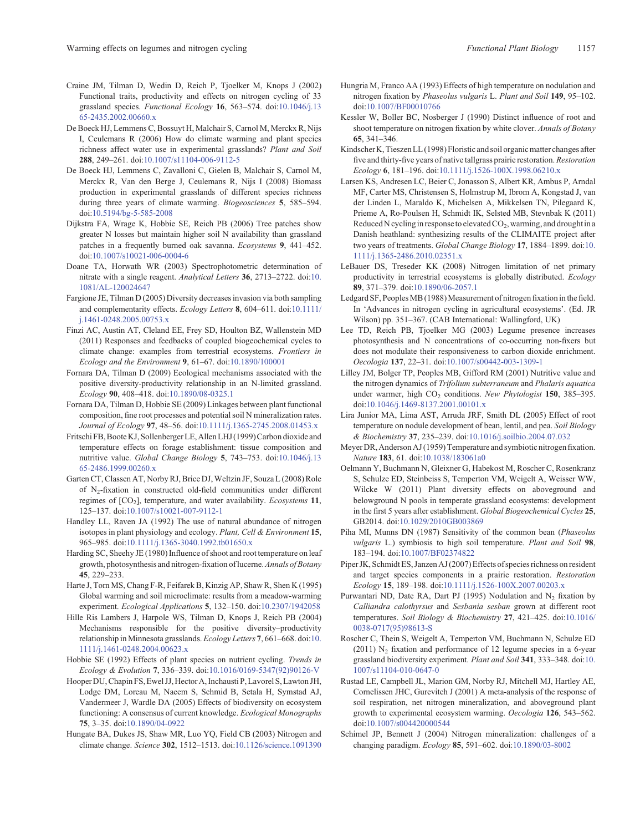- <span id="page-10-0"></span>Craine JM, Tilman D, Wedin D, Reich P, Tjoelker M, Knops J (2002) Functional traits, productivity and effects on nitrogen cycling of 33 grassland species. *Functional Ecology* **16**, 563–574. doi[:10.1046/j.13](dx.doi.org/10.1046/j.1365-2435.2002.00660.x) [65-2435.2002.00660.x](dx.doi.org/10.1046/j.1365-2435.2002.00660.x)
- De Boeck HJ, Lemmens C, Bossuyt H, Malchair S, Carnol M, Merckx R, Nijs I, Ceulemans R (2006) How do climate warming and plant species richness affect water use in experimental grasslands? *Plant and Soil* **288**, 249–261. doi:[10.1007/s11104-006-9112-5](dx.doi.org/10.1007/s11104-006-9112-5)
- De Boeck HJ, Lemmens C, Zavalloni C, Gielen B, Malchair S, Carnol M, Merckx R, Van den Berge J, Ceulemans R, Nijs I (2008) Biomass production in experimental grasslands of different species richness during three years of climate warming. *Biogeosciences* **5**, 585–594. doi:[10.5194/bg-5-585-2008](dx.doi.org/10.5194/bg-5-585-2008)
- Dijkstra FA, Wrage K, Hobbie SE, Reich PB (2006) Tree patches show greater N losses but maintain higher soil N availability than grassland patches in a frequently burned oak savanna. *Ecosystems* **9**, 441–452. doi:[10.1007/s10021-006-0004-6](dx.doi.org/10.1007/s10021-006-0004-6)
- Doane TA, Horwath WR (2003) Spectrophotometric determination of nitrate with a single reagent. *Analytical Letters* **36**, 2713–2722. doi:[10.](dx.doi.org/10.1081/AL-120024647) [1081/AL-120024647](dx.doi.org/10.1081/AL-120024647)
- Fargione JE, Tilman D (2005) Diversity decreases invasion via both sampling and complementarity effects. *Ecology Letters* **8**, 604–611. doi[:10.1111/](dx.doi.org/10.1111/j.1461-0248.2005.00753.x) [j.1461-0248.2005.00753.x](dx.doi.org/10.1111/j.1461-0248.2005.00753.x)
- Finzi AC, Austin AT, Cleland EE, Frey SD, Houlton BZ, Wallenstein MD (2011) Responses and feedbacks of coupled biogeochemical cycles to climate change: examples from terrestrial ecosystems. *Frontiers in Ecology and the Environment* **9**, 61–67. doi:[10.1890/100001](dx.doi.org/10.1890/100001)
- Fornara DA, Tilman D (2009) Ecological mechanisms associated with the positive diversity-productivity relationship in an N-limited grassland. *Ecology* **90**, 408–418. doi:[10.1890/08-0325.1](dx.doi.org/10.1890/08-0325.1)
- Fornara DA, Tilman D, Hobbie SE (2009) Linkages between plant functional composition, fine root processes and potential soil N mineralization rates. *Journal of Ecology* **97**, 48–56. doi[:10.1111/j.1365-2745.2008.01453.x](dx.doi.org/10.1111/j.1365-2745.2008.01453.x)
- Fritschi FB, Boote KJ, Sollenberger LE, Allen LHJ (1999) Carbon dioxide and temperature effects on forage establishment: tissue composition and nutritive value. *Global Change Biology* **5**, 743–753. doi[:10.1046/j.13](dx.doi.org/10.1046/j.1365-2486.1999.00260.x) [65-2486.1999.00260.x](dx.doi.org/10.1046/j.1365-2486.1999.00260.x)
- Garten CT, Classen AT, Norby RJ, Brice DJ,Weltzin JF, Souza L (2008) Role of N2-fixation in constructed old-field communities under different regimes of [CO2], temperature, and water availability. *Ecosystems* **11**, 125–137. doi:[10.1007/s10021-007-9112-1](dx.doi.org/10.1007/s10021-007-9112-1)
- Handley LL, Raven JA (1992) The use of natural abundance of nitrogen isotopes in plant physiology and ecology. *Plant, Cell & Environment* **15**, 965–985. doi:[10.1111/j.1365-3040.1992.tb01650.x](dx.doi.org/10.1111/j.1365-3040.1992.tb01650.x)
- Harding SC, Sheehy JE (1980) Influence of shoot and root temperature on leaf growth, photosynthesis and nitrogen-fixation of lucerne.*Annals of Botany* **45**, 229–233.
- Harte J, Torn MS, Chang F-R, Feifarek B, Kinzig AP, Shaw R, Shen K (1995) Global warming and soil microclimate: results from a meadow-warming experiment. *Ecological Applications* **5**, 132–150. doi:[10.2307/1942058](dx.doi.org/10.2307/1942058)
- Hille Ris Lambers J, Harpole WS, Tilman D, Knops J, Reich PB (2004) Mechanisms responsible for the positive diversity–productivity relationship in Minnesota grasslands. *Ecology Letters* **7**, 661–668. doi:[10.](dx.doi.org/10.1111/j.1461-0248.2004.00623.x) [1111/j.1461-0248.2004.00623.x](dx.doi.org/10.1111/j.1461-0248.2004.00623.x)
- Hobbie SE (1992) Effects of plant species on nutrient cycling. *Trends in Ecology & Evolution* **7**, 336–339. doi[:10.1016/0169-5347\(92\)90126-V](dx.doi.org/10.1016/0169-5347(92)90126-V)
- Hooper DU, Chapin FS, Ewel JJ, Hector A, Inchausti P, Lavorel S, Lawton JH, Lodge DM, Loreau M, Naeem S, Schmid B, Setala H, Symstad AJ, Vandermeer J, Wardle DA (2005) Effects of biodiversity on ecosystem functioning: A consensus of current knowledge. *Ecological Monographs* **75**, 3–35. doi:[10.1890/04-0922](dx.doi.org/10.1890/04-0922)
- Hungate BA, Dukes JS, Shaw MR, Luo YQ, Field CB (2003) Nitrogen and climate change. *Science* **302**, 1512–1513. doi:[10.1126/science.1091390](dx.doi.org/10.1126/science.1091390)
- Hungria M, Franco AA (1993) Effects of high temperature on nodulation and nitrogen fixation by *Phaseolus vulgaris* L. *Plant and Soil* **149**, 95–102. doi:[10.1007/BF00010766](dx.doi.org/10.1007/BF00010766)
- Kessler W, Boller BC, Nosberger J (1990) Distinct influence of root and shoot temperature on nitrogen fixation by white clover. *Annals of Botany* **65**, 341–346.
- Kindscher K, Tieszen LL (1998) Floristic and soil organic matter changes after five and thirty-five years of native tallgrass prairie restoration. *Restoration Ecology* **6**, 181–196. doi:[10.1111/j.1526-100X.1998.06210.x](dx.doi.org/10.1111/j.1526-100X.1998.06210.x)
- Larsen KS, Andresen LC, Beier C, Jonasson S, Albert KR, Ambus P, Arndal MF, Carter MS, Christensen S, Holmstrup M, Ibrom A, Kongstad J, van der Linden L, Maraldo K, Michelsen A, Mikkelsen TN, Pilegaard K, Prieme A, Ro-Poulsen H, Schmidt IK, Selsted MB, Stevnbak K (2011) Reduced N cycling in response to elevated  $CO<sub>2</sub>$ , warming, and drought in a Danish heathland: synthesizing results of the CLIMAITE project after two years of treatments. *Global Change Biology* **17**, 1884–1899. doi:[10.](dx.doi.org/10.1111/j.1365-2486.2010.02351.x) [1111/j.1365-2486.2010.02351.x](dx.doi.org/10.1111/j.1365-2486.2010.02351.x)
- LeBauer DS, Treseder KK (2008) Nitrogen limitation of net primary productivity in terrestrial ecosystems is globally distributed. *Ecology* **89**, 371–379. doi:[10.1890/06-2057.1](dx.doi.org/10.1890/06-2057.1)
- Ledgard SF, Peoples MB (1988) Measurement of nitrogen fixation in the field. In 'Advances in nitrogen cycling in agricultural ecosystems'. (Ed. JR Wilson) pp. 351–367. (CAB International: Wallingford, UK)
- Lee TD, Reich PB, Tjoelker MG (2003) Legume presence increases photosynthesis and N concentrations of co-occurring non-fixers but does not modulate their responsiveness to carbon dioxide enrichment. *Oecologia* **137**, 22–31. doi:[10.1007/s00442-003-1309-1](dx.doi.org/10.1007/s00442-003-1309-1)
- Lilley JM, Bolger TP, Peoples MB, Gifford RM (2001) Nutritive value and the nitrogen dynamics of *Trifolium subterraneum* and *Phalaris aquatica* under warmer, high CO<sub>2</sub> conditions. *New Phytologist* 150, 385-395. doi:[10.1046/j.1469-8137.2001.00101.x](dx.doi.org/10.1046/j.1469-8137.2001.00101.x)
- Lira Junior MA, Lima AST, Arruda JRF, Smith DL (2005) Effect of root temperature on nodule development of bean, lentil, and pea. *Soil Biology & Biochemistry* **37**, 235–239. doi:[10.1016/j.soilbio.2004.07.032](dx.doi.org/10.1016/j.soilbio.2004.07.032)
- Meyer DR, Anderson AJ (1959) Temperature and symbiotic nitrogen fixation. *Nature* **183**, 61. doi[:10.1038/183061a0](dx.doi.org/10.1038/183061a0)
- Oelmann Y, Buchmann N, Gleixner G, Habekost M, Roscher C, Rosenkranz S, Schulze ED, Steinbeiss S, Temperton VM, Weigelt A, Weisser WW, Wilcke W (2011) Plant diversity effects on aboveground and belowground N pools in temperate grassland ecosystems: development in the first 5 years after establishment. *Global Biogeochemical Cycles* **25**, GB2014. doi:[10.1029/2010GB003869](dx.doi.org/10.1029/2010GB003869)
- Piha MI, Munns DN (1987) Sensitivity of the common bean (*Phaseolus vulgaris* L.) symbiosis to high soil temperature. *Plant and Soil* **98**, 183–194. doi:[10.1007/BF02374822](dx.doi.org/10.1007/BF02374822)
- Piper JK, Schmidt ES, Janzen AJ (2007) Effects of species richness on resident and target species components in a prairie restoration. *Restoration Ecology* **15**, 189–198. doi:[10.1111/j.1526-100X.2007.00203.x](dx.doi.org/10.1111/j.1526-100X.2007.00203.x)
- Purwantari ND, Date RA, Dart PJ (1995) Nodulation and  $N_2$  fixation by *Calliandra calothyrsus* and *Sesbania sesban* grown at different root temperatures. *Soil Biology & Biochemistry* **27**, 421–425. doi:[10.1016/](dx.doi.org/10.1016/0038-0717(95)98613-S) [0038-0717\(95\)98613-S](dx.doi.org/10.1016/0038-0717(95)98613-S)
- Roscher C, Thein S, Weigelt A, Temperton VM, Buchmann N, Schulze ED (2011)  $N_2$  fixation and performance of 12 legume species in a 6-year grassland biodiversity experiment. *Plant and Soil* **341**, 333–348. doi:[10.](dx.doi.org/10.1007/s11104-010-0647-0) [1007/s11104-010-0647-0](dx.doi.org/10.1007/s11104-010-0647-0)
- Rustad LE, Campbell JL, Marion GM, Norby RJ, Mitchell MJ, Hartley AE, Cornelissen JHC, Gurevitch J (2001) A meta-analysis of the response of soil respiration, net nitrogen mineralization, and aboveground plant growth to experimental ecosystem warming. *Oecologia* **126**, 543–562. doi:[10.1007/s004420000544](dx.doi.org/10.1007/s004420000544)
- Schimel JP, Bennett J (2004) Nitrogen mineralization: challenges of a changing paradigm. *Ecology* **85**, 591–602. doi[:10.1890/03-8002](dx.doi.org/10.1890/03-8002)